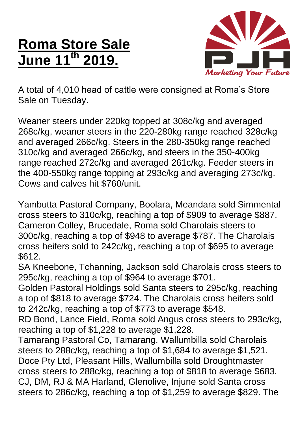## **Roma Store Sale June 11th 2019.**



A total of 4,010 head of cattle were consigned at Roma's Store Sale on Tuesday.

Weaner steers under 220kg topped at 308c/kg and averaged 268c/kg, weaner steers in the 220-280kg range reached 328c/kg and averaged 266c/kg. Steers in the 280-350kg range reached 310c/kg and averaged 266c/kg, and steers in the 350-400kg range reached 272c/kg and averaged 261c/kg. Feeder steers in the 400-550kg range topping at 293c/kg and averaging 273c/kg. Cows and calves hit \$760/unit.

Yambutta Pastoral Company, Boolara, Meandara sold Simmental cross steers to 310c/kg, reaching a top of \$909 to average \$887. Cameron Colley, Brucedale, Roma sold Charolais steers to 300c/kg, reaching a top of \$948 to average \$787. The Charolais cross heifers sold to 242c/kg, reaching a top of \$695 to average \$612.

SA Kneebone, Tchanning, Jackson sold Charolais cross steers to 295c/kg, reaching a top of \$964 to average \$701.

Golden Pastoral Holdings sold Santa steers to 295c/kg, reaching a top of \$818 to average \$724. The Charolais cross heifers sold to 242c/kg, reaching a top of \$773 to average \$548.

RD Bond, Lance Field, Roma sold Angus cross steers to 293c/kg, reaching a top of \$1,228 to average \$1,228.

Tamarang Pastoral Co, Tamarang, Wallumbilla sold Charolais steers to 288c/kg, reaching a top of \$1,684 to average \$1,521. Doce Pty Ltd, Pleasant Hills, Wallumbilla sold Droughtmaster cross steers to 288c/kg, reaching a top of \$818 to average \$683. CJ, DM, RJ & MA Harland, Glenolive, Injune sold Santa cross steers to 286c/kg, reaching a top of \$1,259 to average \$829. The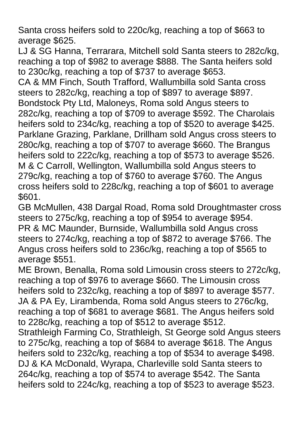Santa cross heifers sold to 220c/kg, reaching a top of \$663 to average \$625.

LJ & SG Hanna, Terrarara, Mitchell sold Santa steers to 282c/kg, reaching a top of \$982 to average \$888. The Santa heifers sold to 230c/kg, reaching a top of \$737 to average \$653.

CA & MM Finch, South Trafford, Wallumbilla sold Santa cross steers to 282c/kg, reaching a top of \$897 to average \$897. Bondstock Pty Ltd, Maloneys, Roma sold Angus steers to 282c/kg, reaching a top of \$709 to average \$592. The Charolais heifers sold to 234c/kg, reaching a top of \$520 to average \$425. Parklane Grazing, Parklane, Drillham sold Angus cross steers to 280c/kg, reaching a top of \$707 to average \$660. The Brangus heifers sold to 222c/kg, reaching a top of \$573 to average \$526. M & C Carroll, Wellington, Wallumbilla sold Angus steers to 279c/kg, reaching a top of \$760 to average \$760. The Angus cross heifers sold to 228c/kg, reaching a top of \$601 to average \$601.

GB McMullen, 438 Dargal Road, Roma sold Droughtmaster cross steers to 275c/kg, reaching a top of \$954 to average \$954. PR & MC Maunder, Burnside, Wallumbilla sold Angus cross steers to 274c/kg, reaching a top of \$872 to average \$766. The Angus cross heifers sold to 236c/kg, reaching a top of \$565 to average \$551.

ME Brown, Benalla, Roma sold Limousin cross steers to 272c/kg, reaching a top of \$976 to average \$660. The Limousin cross heifers sold to 232c/kg, reaching a top of \$897 to average \$577. JA & PA Ey, Lirambenda, Roma sold Angus steers to 276c/kg, reaching a top of \$681 to average \$681. The Angus heifers sold to 228c/kg, reaching a top of \$512 to average \$512. Strathleigh Farming Co, Strathleigh, St George sold Angus steers to 275c/kg, reaching a top of \$684 to average \$618. The Angus heifers sold to 232c/kg, reaching a top of \$534 to average \$498. DJ & KA McDonald, Wyrapa, Charleville sold Santa steers to 264c/kg, reaching a top of \$574 to average \$542. The Santa heifers sold to 224c/kg, reaching a top of \$523 to average \$523.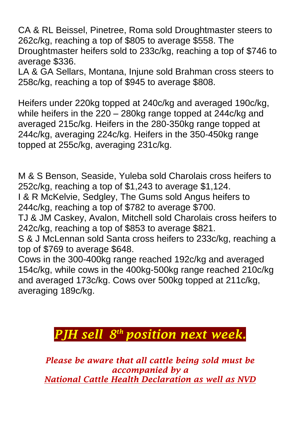CA & RL Beissel, Pinetree, Roma sold Droughtmaster steers to 262c/kg, reaching a top of \$805 to average \$558. The Droughtmaster heifers sold to 233c/kg, reaching a top of \$746 to average \$336.

LA & GA Sellars, Montana, Injune sold Brahman cross steers to 258c/kg, reaching a top of \$945 to average \$808.

Heifers under 220kg topped at 240c/kg and averaged 190c/kg, while heifers in the 220 – 280kg range topped at 244c/kg and averaged 215c/kg. Heifers in the 280-350kg range topped at 244c/kg, averaging 224c/kg. Heifers in the 350-450kg range topped at 255c/kg, averaging 231c/kg.

M & S Benson, Seaside, Yuleba sold Charolais cross heifers to 252c/kg, reaching a top of \$1,243 to average \$1,124.

I & R McKelvie, Sedgley, The Gums sold Angus heifers to 244c/kg, reaching a top of \$782 to average \$700.

TJ & JM Caskey, Avalon, Mitchell sold Charolais cross heifers to 242c/kg, reaching a top of \$853 to average \$821.

S & J McLennan sold Santa cross heifers to 233c/kg, reaching a top of \$769 to average \$648.

Cows in the 300-400kg range reached 192c/kg and averaged 154c/kg, while cows in the 400kg-500kg range reached 210c/kg and averaged 173c/kg. Cows over 500kg topped at 211c/kg, averaging 189c/kg.

## *PJH sell 8 th position next week.*

*Please be aware that all cattle being sold must be accompanied by a National Cattle Health Declaration as well as NVD*